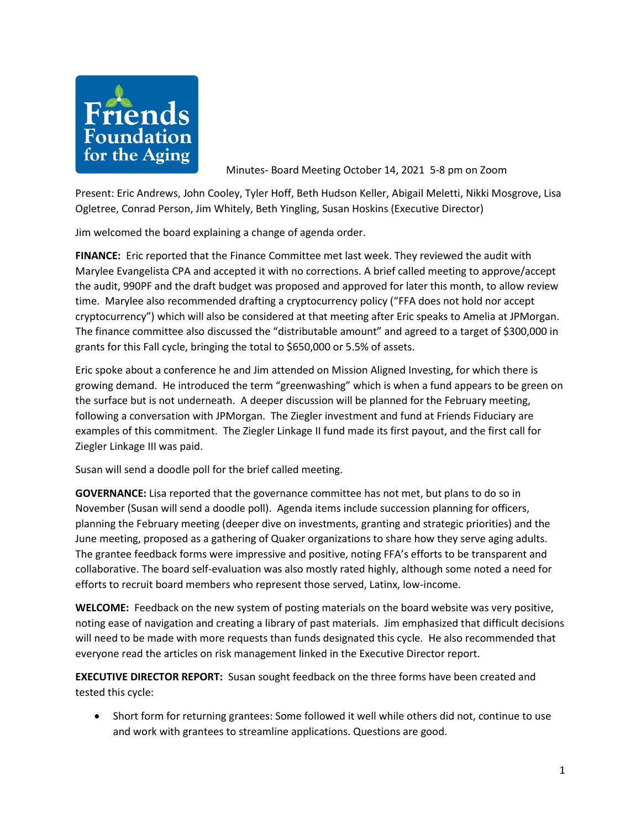

Minutes- Board Meeting October 14, 2021 5-8 pm on Zoom

Present: Eric Andrews, John Cooley, Tyler Hoff, Beth Hudson Keller, Abigail Meletti, Nikki Mosgrove, Lisa Ogletree, Conrad Person, Jim Whitely, Beth Yingling, Susan Hoskins (Executive Director)

Jim welcomed the board explaining a change of agenda order.

**FINANCE:** Eric reported that the Finance Committee met last week. They reviewed the audit with Marylee Evangelista CPA and accepted it with no corrections. A brief called meeting to approve/accept the audit, 990PF and the draft budget was proposed and approved for later this month, to allow review time. Marylee also recommended drafting a cryptocurrency policy ("FFA does not hold nor accept cryptocurrency") which will also be considered at that meeting after Eric speaks to Amelia at JPMorgan. The finance committee also discussed the "distributable amount" and agreed to a target of \$300,000 in grants for this Fall cycle, bringing the total to \$650,000 or 5.5% of assets.

Eric spoke about a conference he and Jim attended on Mission Aligned Investing, for which there is growing demand. He introduced the term "greenwashing" which is when a fund appears to be green on the surface but is not underneath. A deeper discussion will be planned for the February meeting, following a conversation with JPMorgan. The Ziegler investment and fund at Friends Fiduciary are examples of this commitment. The Ziegler Linkage II fund made its first payout, and the first call for Ziegler Linkage III was paid.

Susan will send a doodle poll for the brief called meeting.

**GOVERNANCE:** Lisa reported that the governance committee has not met, but plans to do so in November (Susan will send a doodle poll). Agenda items include succession planning for officers, planning the February meeting (deeper dive on investments, granting and strategic priorities) and the June meeting, proposed as a gathering of Quaker organizations to share how they serve aging adults. The grantee feedback forms were impressive and positive, noting FFA's efforts to be transparent and collaborative. The board self-evaluation was also mostly rated highly, although some noted a need for efforts to recruit board members who represent those served, Latinx, low-income.

**WELCOME:** Feedback on the new system of posting materials on the board website was very positive, noting ease of navigation and creating a library of past materials. Jim emphasized that difficult decisions will need to be made with more requests than funds designated this cycle. He also recommended that everyone read the articles on risk management linked in the Executive Director report.

**EXECUTIVE DIRECTOR REPORT:** Susan sought feedback on the three forms have been created and tested this cycle:

• Short form for returning grantees: Some followed it well while others did not, continue to use and work with grantees to streamline applications. Questions are good.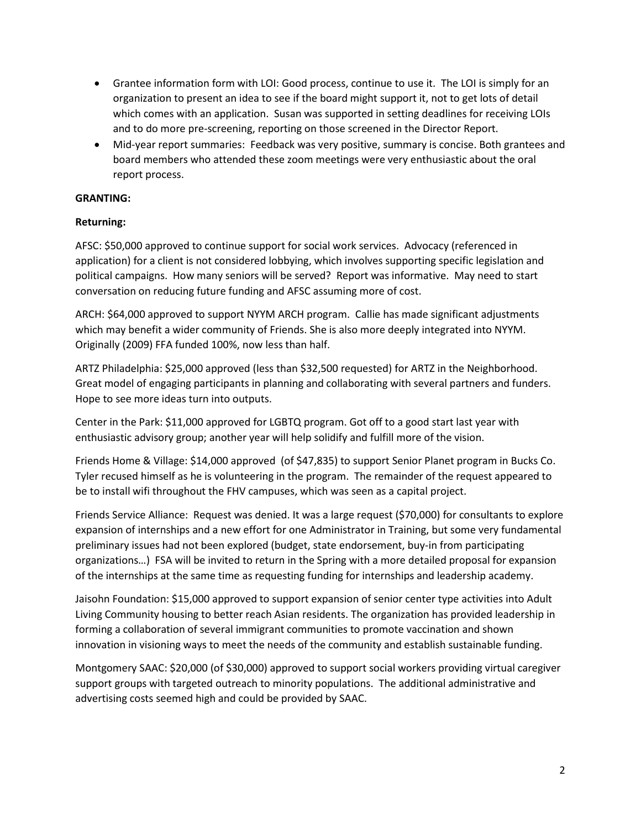- Grantee information form with LOI: Good process, continue to use it. The LOI is simply for an organization to present an idea to see if the board might support it, not to get lots of detail which comes with an application. Susan was supported in setting deadlines for receiving LOIs and to do more pre-screening, reporting on those screened in the Director Report.
- Mid-year report summaries: Feedback was very positive, summary is concise. Both grantees and board members who attended these zoom meetings were very enthusiastic about the oral report process.

## **GRANTING:**

## **Returning:**

AFSC: \$50,000 approved to continue support for social work services. Advocacy (referenced in application) for a client is not considered lobbying, which involves supporting specific legislation and political campaigns. How many seniors will be served? Report was informative. May need to start conversation on reducing future funding and AFSC assuming more of cost.

ARCH: \$64,000 approved to support NYYM ARCH program. Callie has made significant adjustments which may benefit a wider community of Friends. She is also more deeply integrated into NYYM. Originally (2009) FFA funded 100%, now less than half.

ARTZ Philadelphia: \$25,000 approved (less than \$32,500 requested) for ARTZ in the Neighborhood. Great model of engaging participants in planning and collaborating with several partners and funders. Hope to see more ideas turn into outputs.

Center in the Park: \$11,000 approved for LGBTQ program. Got off to a good start last year with enthusiastic advisory group; another year will help solidify and fulfill more of the vision.

Friends Home & Village: \$14,000 approved (of \$47,835) to support Senior Planet program in Bucks Co. Tyler recused himself as he is volunteering in the program. The remainder of the request appeared to be to install wifi throughout the FHV campuses, which was seen as a capital project.

Friends Service Alliance: Request was denied. It was a large request (\$70,000) for consultants to explore expansion of internships and a new effort for one Administrator in Training, but some very fundamental preliminary issues had not been explored (budget, state endorsement, buy-in from participating organizations…) FSA will be invited to return in the Spring with a more detailed proposal for expansion of the internships at the same time as requesting funding for internships and leadership academy.

Jaisohn Foundation: \$15,000 approved to support expansion of senior center type activities into Adult Living Community housing to better reach Asian residents. The organization has provided leadership in forming a collaboration of several immigrant communities to promote vaccination and shown innovation in visioning ways to meet the needs of the community and establish sustainable funding.

Montgomery SAAC: \$20,000 (of \$30,000) approved to support social workers providing virtual caregiver support groups with targeted outreach to minority populations. The additional administrative and advertising costs seemed high and could be provided by SAAC.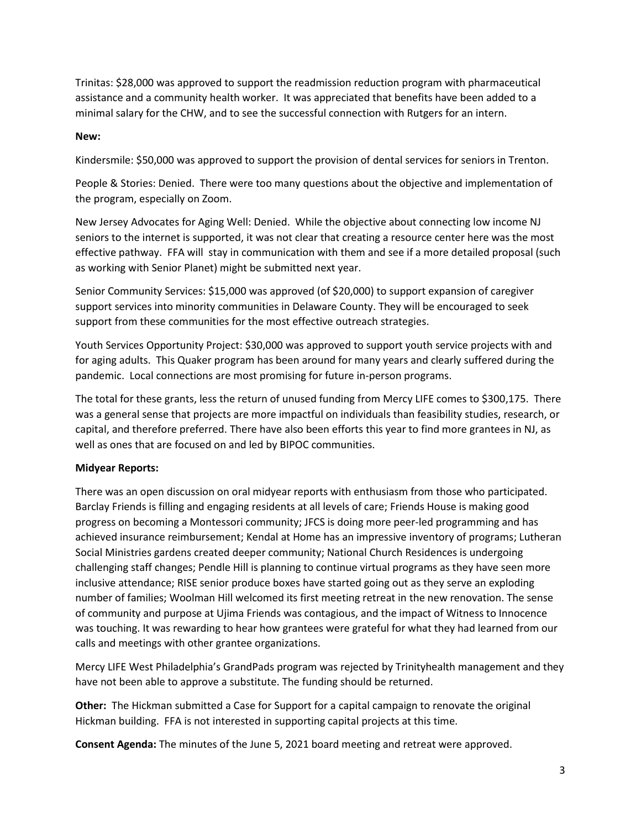Trinitas: \$28,000 was approved to support the readmission reduction program with pharmaceutical assistance and a community health worker. It was appreciated that benefits have been added to a minimal salary for the CHW, and to see the successful connection with Rutgers for an intern.

## **New:**

Kindersmile: \$50,000 was approved to support the provision of dental services for seniors in Trenton.

People & Stories: Denied. There were too many questions about the objective and implementation of the program, especially on Zoom.

New Jersey Advocates for Aging Well: Denied. While the objective about connecting low income NJ seniors to the internet is supported, it was not clear that creating a resource center here was the most effective pathway. FFA will stay in communication with them and see if a more detailed proposal (such as working with Senior Planet) might be submitted next year.

Senior Community Services: \$15,000 was approved (of \$20,000) to support expansion of caregiver support services into minority communities in Delaware County. They will be encouraged to seek support from these communities for the most effective outreach strategies.

Youth Services Opportunity Project: \$30,000 was approved to support youth service projects with and for aging adults. This Quaker program has been around for many years and clearly suffered during the pandemic. Local connections are most promising for future in-person programs.

The total for these grants, less the return of unused funding from Mercy LIFE comes to \$300,175. There was a general sense that projects are more impactful on individuals than feasibility studies, research, or capital, and therefore preferred. There have also been efforts this year to find more grantees in NJ, as well as ones that are focused on and led by BIPOC communities.

## **Midyear Reports:**

There was an open discussion on oral midyear reports with enthusiasm from those who participated. Barclay Friends is filling and engaging residents at all levels of care; Friends House is making good progress on becoming a Montessori community; JFCS is doing more peer-led programming and has achieved insurance reimbursement; Kendal at Home has an impressive inventory of programs; Lutheran Social Ministries gardens created deeper community; National Church Residences is undergoing challenging staff changes; Pendle Hill is planning to continue virtual programs as they have seen more inclusive attendance; RISE senior produce boxes have started going out as they serve an exploding number of families; Woolman Hill welcomed its first meeting retreat in the new renovation. The sense of community and purpose at Ujima Friends was contagious, and the impact of Witness to Innocence was touching. It was rewarding to hear how grantees were grateful for what they had learned from our calls and meetings with other grantee organizations.

Mercy LIFE West Philadelphia's GrandPads program was rejected by Trinityhealth management and they have not been able to approve a substitute. The funding should be returned.

**Other:** The Hickman submitted a Case for Support for a capital campaign to renovate the original Hickman building. FFA is not interested in supporting capital projects at this time.

**Consent Agenda:** The minutes of the June 5, 2021 board meeting and retreat were approved.